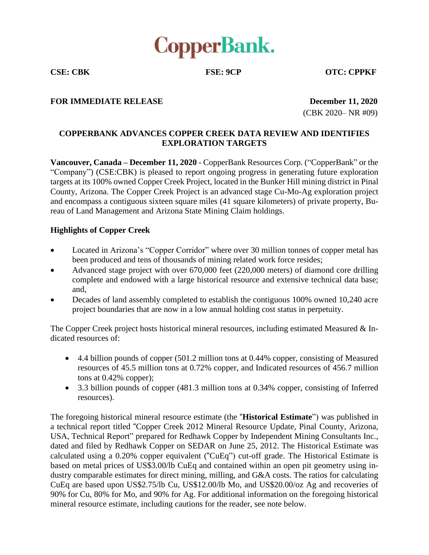

**CSE: CBK FSE: 9CP OTC: CPPKF**

#### **FOR IMMEDIATE RELEASE December 11, 2020**

(CBK 2020– NR #09)

# **COPPERBANK ADVANCES COPPER CREEK DATA REVIEW AND IDENTIFIES EXPLORATION TARGETS**

**Vancouver, Canada – December 11, 2020** - CopperBank Resources Corp. ("CopperBank" or the "Company") (CSE:CBK) is pleased to report ongoing progress in generating future exploration targets at its 100% owned Copper Creek Project, located in the Bunker Hill mining district in Pinal County, Arizona. The Copper Creek Project is an advanced stage Cu-Mo-Ag exploration project and encompass a contiguous sixteen square miles (41 square kilometers) of private property, Bureau of Land Management and Arizona State Mining Claim holdings.

#### **Highlights of Copper Creek**

- Located in Arizona's "Copper Corridor" where over 30 million tonnes of copper metal has been produced and tens of thousands of mining related work force resides;
- Advanced stage project with over 670,000 feet (220,000 meters) of diamond core drilling complete and endowed with a large historical resource and extensive technical data base; and,
- Decades of land assembly completed to establish the contiguous 100% owned 10,240 acre project boundaries that are now in a low annual holding cost status in perpetuity.

The Copper Creek project hosts historical mineral resources, including estimated Measured  $\&$  Indicated resources of:

- 4.4 billion pounds of copper (501.2 million tons at 0.44% copper, consisting of Measured resources of 45.5 million tons at 0.72% copper, and Indicated resources of 456.7 million tons at 0.42% copper);
- 3.3 billion pounds of copper (481.3 million tons at 0.34% copper, consisting of Inferred resources).

The foregoing historical mineral resource estimate (the "**Historical Estimate**") was published in a technical report titled "Copper Creek 2012 Mineral Resource Update, Pinal County, Arizona, USA, Technical Report" prepared for Redhawk Copper by Independent Mining Consultants Inc., dated and filed by Redhawk Copper on SEDAR on June 25, 2012. The Historical Estimate was calculated using a 0.20% copper equivalent ("CuEq") cut-off grade. The Historical Estimate is based on metal prices of US\$3.00/lb CuEq and contained within an open pit geometry using industry comparable estimates for direct mining, milling, and G&A costs. The ratios for calculating CuEq are based upon US\$2.75/lb Cu, US\$12.00/lb Mo, and US\$20.00/oz Ag and recoveries of 90% for Cu, 80% for Mo, and 90% for Ag. For additional information on the foregoing historical mineral resource estimate, including cautions for the reader, see note below.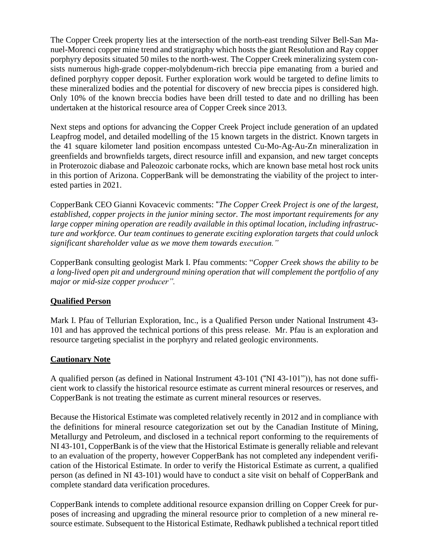The Copper Creek property lies at the intersection of the north-east trending Silver Bell-San Manuel-Morenci copper mine trend and stratigraphy which hosts the giant Resolution and Ray copper porphyry deposits situated 50 miles to the north-west. The Copper Creek mineralizing system consists numerous high-grade copper-molybdenum-rich breccia pipe emanating from a buried and defined porphyry copper deposit. Further exploration work would be targeted to define limits to these mineralized bodies and the potential for discovery of new breccia pipes is considered high. Only 10% of the known breccia bodies have been drill tested to date and no drilling has been undertaken at the historical resource area of Copper Creek since 2013.

Next steps and options for advancing the Copper Creek Project include generation of an updated Leapfrog model, and detailed modelling of the 15 known targets in the district. Known targets in the 41 square kilometer land position encompass untested Cu-Mo-Ag-Au-Zn mineralization in greenfields and brownfields targets, direct resource infill and expansion, and new target concepts in Proterozoic diabase and Paleozoic carbonate rocks, which are known base metal host rock units in this portion of Arizona. CopperBank will be demonstrating the viability of the project to interested parties in 2021.

CopperBank CEO Gianni Kovacevic comments: "*The Copper Creek Project is one of the largest, established, copper projects in the junior mining sector. The most important requirements for any large copper mining operation are readily available in this optimal location, including infrastructure and workforce. Our team continues to generate exciting exploration targets that could unlock significant shareholder value as we move them towards execution."*

CopperBank consulting geologist Mark I. Pfau comments: "*Copper Creek shows the ability to be a long-lived open pit and underground mining operation that will complement the portfolio of any major or mid-size copper producer".*

## **Qualified Person**

Mark I. Pfau of Tellurian Exploration, Inc., is a Qualified Person under National Instrument 43- 101 and has approved the technical portions of this press release. Mr. Pfau is an exploration and resource targeting specialist in the porphyry and related geologic environments.

## **Cautionary Note**

A qualified person (as defined in National Instrument 43-101 ("NI 43-101")), has not done sufficient work to classify the historical resource estimate as current mineral resources or reserves, and CopperBank is not treating the estimate as current mineral resources or reserves.

Because the Historical Estimate was completed relatively recently in 2012 and in compliance with the definitions for mineral resource categorization set out by the Canadian Institute of Mining, Metallurgy and Petroleum, and disclosed in a technical report conforming to the requirements of NI 43-101, CopperBank is of the view that the Historical Estimate is generally reliable and relevant to an evaluation of the property, however CopperBank has not completed any independent verification of the Historical Estimate. In order to verify the Historical Estimate as current, a qualified person (as defined in NI 43-101) would have to conduct a site visit on behalf of CopperBank and complete standard data verification procedures.

CopperBank intends to complete additional resource expansion drilling on Copper Creek for purposes of increasing and upgrading the mineral resource prior to completion of a new mineral resource estimate. Subsequent to the Historical Estimate, Redhawk published a technical report titled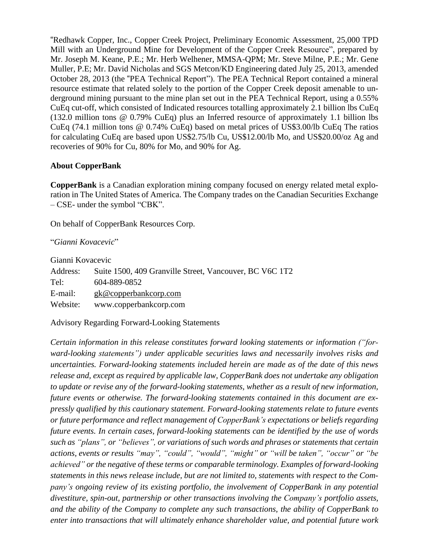"Redhawk Copper, Inc., Copper Creek Project, Preliminary Economic Assessment, 25,000 TPD Mill with an Underground Mine for Development of the Copper Creek Resource", prepared by Mr. Joseph M. Keane, P.E.; Mr. Herb Welhener, MMSA-QPM; Mr. Steve Milne, P.E.; Mr. Gene Muller, P.E; Mr. David Nicholas and SGS Metcon/KD Engineering dated July 25, 2013, amended October 28, 2013 (the "PEA Technical Report"). The PEA Technical Report contained a mineral resource estimate that related solely to the portion of the Copper Creek deposit amenable to underground mining pursuant to the mine plan set out in the PEA Technical Report, using a 0.55% CuEq cut-off, which consisted of Indicated resources totalling approximately 2.1 billion lbs CuEq (132.0 million tons @ 0.79% CuEq) plus an Inferred resource of approximately 1.1 billion lbs CuEq (74.1 million tons @ 0.74% CuEq) based on metal prices of US\$3.00/lb CuEq The ratios for calculating CuEq are based upon US\$2.75/lb Cu, US\$12.00/lb Mo, and US\$20.00/oz Ag and recoveries of 90% for Cu, 80% for Mo, and 90% for Ag.

### **About CopperBank**

**CopperBank** is a Canadian exploration mining company focused on energy related metal exploration in The United States of America. The Company trades on the Canadian Securities Exchange – CSE- under the symbol "CBK".

On behalf of CopperBank Resources Corp.

"*Gianni Kovacevic*"

Gianni Kovacevic Address: Suite 1500, 409 Granville Street, Vancouver, BC V6C 1T2 Tel: 604-889-0852 E-mail: gk@copperbankcorp.com Website: www.copperbankcorp.com

Advisory Regarding Forward-Looking Statements

*Certain information in this release constitutes forward looking statements or information ("forward-looking statements") under applicable securities laws and necessarily involves risks and uncertainties. Forward-looking statements included herein are made as of the date of this news release and, except as required by applicable law, CopperBank does not undertake any obligation to update or revise any of the forward-looking statements, whether as a result of new information, future events or otherwise. The forward-looking statements contained in this document are expressly qualified by this cautionary statement. Forward-looking statements relate to future events or future performance and reflect management of CopperBank's expectations or beliefs regarding future events. In certain cases, forward-looking statements can be identified by the use of words such as "plans", or "believes", or variations of such words and phrases or statements that certain actions, events or results "may", "could", "would", "might" or "will be taken", "occur" or "be achieved" or the negative of these terms or comparable terminology. Examples of forward-looking statements in this news release include, but are not limited to, statements with respect to the Company's ongoing review of its existing portfolio, the involvement of CopperBank in any potential divestiture, spin-out, partnership or other transactions involving the Company's portfolio assets, and the ability of the Company to complete any such transactions, the ability of CopperBank to enter into transactions that will ultimately enhance shareholder value, and potential future work*